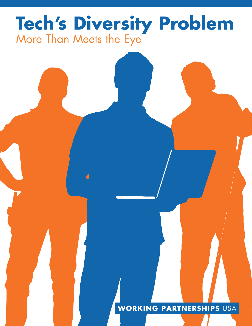# **Tech's Diversity Problem** More Than Meets the Eye

### **WORKING PARTNERSHIPS** USA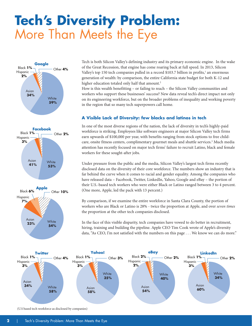## **Tech's Diversity Problem:** More Than Meets the Eye





Tech is both Silicon Valley's defining industry and its primary economic engine. In the wake of the Great Recession, that engine has come roaring back at full speed. In 2013, Silicon Valley's top 150 tech companies pulled in a record \$103.7 billion in profits,<sup>1</sup> an enormous generation of wealth: by comparison, the entire California state budget for both K-12 and higher education totaled only half that amount.<sup>2</sup>

How is this wealth benefitting – or failing to reach – the Silicon Valley communities and workers who support these businesses' success? New data reveal tech's direct impact not only on its engineering workforce, but on the broader problems of inequality and working poverty in the region that so many tech superpowers call home.

#### **A Visible Lack of Diversity: few blacks and latinos in tech**

In one of the most diverse regions of the nation, the lack of diversity in tech's highly-paid workforce is striking. Employees like software engineers at major Silicon Valley tech firms earn upwards of \$100,000 per year, with benefits ranging from stock options to free childcare, onsite fitness centers, complimentary gourmet meals and shuttle services.<sup>3</sup> Much media attention has recently focused on major tech firms' failure to recruit Latino, black and female workers for these sought-after jobs.

Under pressure from the public and the media, Silicon Valley's largest tech firms recently disclosed data on the diversity of their core workforce. The numbers show an industry that is far behind the curve when it comes to racial and gender equality. Among the companies who have released data – Facebook, Twitter, LinkedIn, Yahoo, Google and eBay – the portion of their U.S.-based tech workers who were either Black or Latino ranged between 3 to 4 percent. (One more, Apple, led the pack with 13 percent.)

By comparison, if we examine the entire workforce in Santa Clara County, the portion of workers who are Black or Latino is 28% - twice the proportion at Apple, and over *seven times* the proportion at the other tech companies disclosed.

In the face of this visible disparity, tech companies have vowed to do better in recruitment, hiring, training and building the pipeline. Apple CEO Tim Cook wrote of Apple's diversity data, "As CEO, I'm not satisfied with the numbers on this page . . . We know we can do more."



(U.S based tech workforce as disclosed by companies)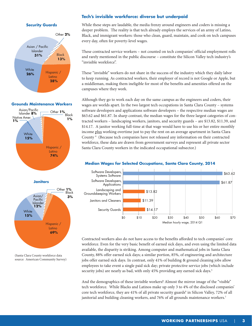#### **Security Guards**



#### **Grounds Maintenance Workers**





(Santa Clara County workforce data source: American Community Survey)

#### **Tech's invisible workforce: diverse but underpaid**

While these steps are laudable, the media frenzy around engineers and coders is missing a deeper problem. The reality is that tech already employs the services of an army of Latino, Black, and immigrant workers: those who clean, guard, maintain, and cook on tech campuses every day, often for poverty-level wages.

These contracted service workers – not counted on tech companies' official employment rolls and rarely mentioned in the public discourse – constitute the Silicon Valley tech industry's "invisible workforce".

These "invisible" workers do not share in the success of the industry which they daily labor to keep running. As contracted workers, their employer of record is not Google or Apple, but a middleman, making them ineligible for most of the benefits and amenities offered on the campuses where they work.

Although they go to work each day on the same campus as the engineers and coders, their wages are worlds apart. In the two largest tech occupations in Santa Clara County – systems software developers and applications software developers – the respective median wages are \$63.62 and \$61.87. In sharp contrast, the median wages for the three largest categories of contracted workers – landscaping workers, janitors, and security guards – are \$13.82, \$11.39, and \$14.17. A janitor working full-time at that wage would have to use his or her entire monthly income plus working overtime just to pay the rent on an average apartment in Santa Clara County<sup>4</sup> (Because tech companies have not released any information on their contracted workforce, these data are drawn from government surveys and represent all private sector Santa Clara County workers in the indicated occupational subsector.)



Contracted workers also do not have access to the benefits afforded to tech companies' core workforce. Even for the very basic benefit of earned sick days, and even using the limited data available, the disparity is striking. Among computer and mathematical jobs in Santa Clara County, 88% offer earned sick days; a similar portion, 85%, of engineering and architecture jobs offer earned sick days. In contrast, only 41% of building & ground cleaning jobs allow employees to take event a single paid sick day; private protective service jobs (which include security jobs) are nearly as bad, with only 45% providing any earned sick days.<sup>5</sup>

And the demographics of these invisible workers? Almost the mirror image of the "visible" tech workforce. While Blacks and Latinos make up only 3 to 4% of the disclosed companies' core tech workforce, they are 41% of all private security guards<sup>6</sup> in Silicon Valley, 72% of all janitorial and building cleaning workers, and 76% of all grounds maintenance workers.<sup>7</sup>

#### **Median Wages for Selected Occupations, Santa Clara County, 2014**